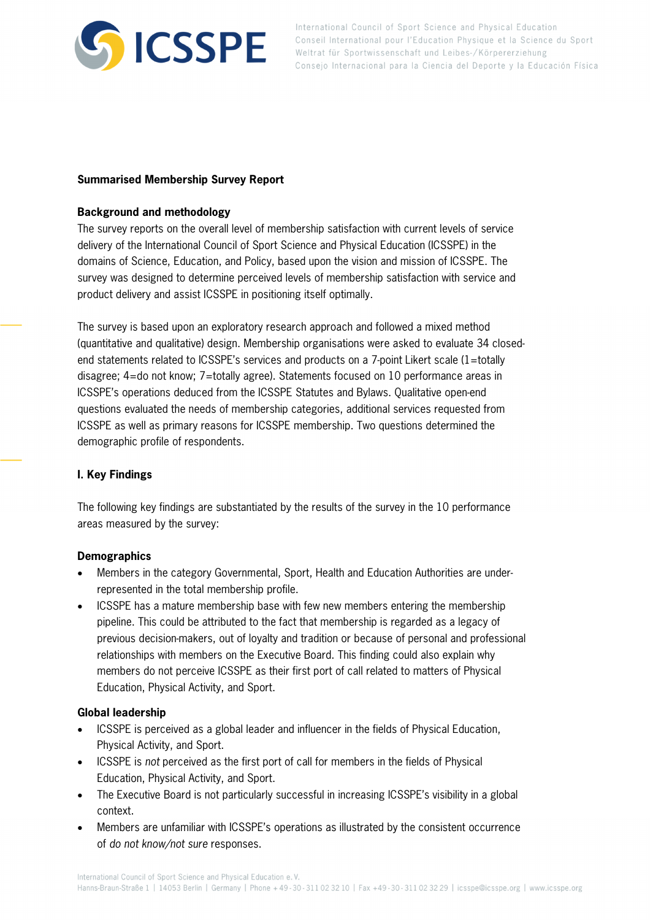

## **Summarised Membership Survey Report**

## **Background and methodology**

The survey reports on the overall level of membership satisfaction with current levels of service delivery of the International Council of Sport Science and Physical Education (ICSSPE) in the domains of Science, Education, and Policy, based upon the vision and mission of ICSSPE. The survey was designed to determine perceived levels of membership satisfaction with service and product delivery and assist ICSSPE in positioning itself optimally.

The survey is based upon an exploratory research approach and followed a mixed method (quantitative and qualitative) design. Membership organisations were asked to evaluate 34 closedend statements related to ICSSPE's services and products on a 7-point Likert scale (1=totally disagree; 4=do not know; 7=totally agree). Statements focused on 10 performance areas in ICSSPE's operations deduced from the ICSSPE Statutes and Bylaws. Qualitative open-end questions evaluated the needs of membership categories, additional services requested from ICSSPE as well as primary reasons for ICSSPE membership. Two questions determined the demographic profile of respondents.

# **I. Key Findings**

The following key findings are substantiated by the results of the survey in the 10 performance areas measured by the survey:

### **Demographics**

- Members in the category Governmental, Sport, Health and Education Authorities are underrepresented in the total membership profile.
- ICSSPE has a mature membership base with few new members entering the membership pipeline. This could be attributed to the fact that membership is regarded as a legacy of previous decision-makers, out of loyalty and tradition or because of personal and professional relationships with members on the Executive Board. This finding could also explain why members do not perceive ICSSPE as their first port of call related to matters of Physical Education, Physical Activity, and Sport.

### **Global leadership**

- ICSSPE is perceived as a global leader and influencer in the fields of Physical Education, Physical Activity, and Sport.
- ICSSPE is not perceived as the first port of call for members in the fields of Physical Education, Physical Activity, and Sport.
- The Executive Board is not particularly successful in increasing ICSSPE's visibility in a global context.
- Members are unfamiliar with ICSSPE's operations as illustrated by the consistent occurrence of do not know/not sure responses.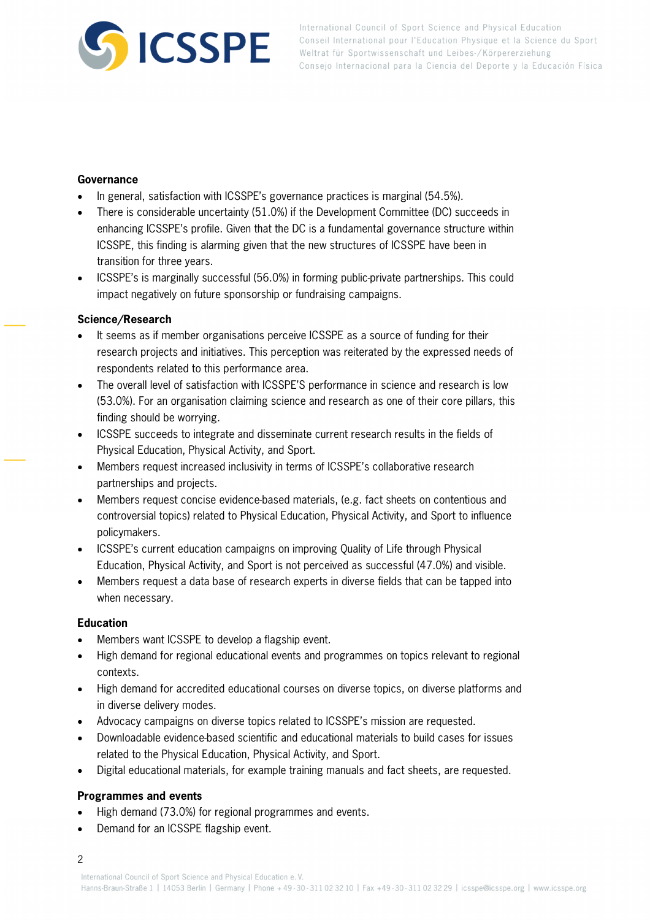

### **Governance**

- In general, satisfaction with ICSSPE's governance practices is marginal (54.5%).
- There is considerable uncertainty (51.0%) if the Development Committee (DC) succeeds in enhancing ICSSPE's profile. Given that the DC is a fundamental governance structure within ICSSPE, this finding is alarming given that the new structures of ICSSPE have been in transition for three years.
- ICSSPE's is marginally successful (56.0%) in forming public-private partnerships. This could impact negatively on future sponsorship or fundraising campaigns.

#### **Science/Research**

- It seems as if member organisations perceive ICSSPE as a source of funding for their research projects and initiatives. This perception was reiterated by the expressed needs of respondents related to this performance area.
- The overall level of satisfaction with ICSSPE'S performance in science and research is low (53.0%). For an organisation claiming science and research as one of their core pillars, this finding should be worrying.
- ICSSPE succeeds to integrate and disseminate current research results in the fields of Physical Education, Physical Activity, and Sport.
- Members request increased inclusivity in terms of ICSSPE's collaborative research partnerships and projects.
- Members request concise evidence-based materials, (e.g. fact sheets on contentious and controversial topics) related to Physical Education, Physical Activity, and Sport to influence policymakers.
- ICSSPE's current education campaigns on improving Quality of Life through Physical Education, Physical Activity, and Sport is not perceived as successful (47.0%) and visible.
- Members request a data base of research experts in diverse fields that can be tapped into when necessary.

#### **Education**

- Members want ICSSPE to develop a flagship event.
- High demand for regional educational events and programmes on topics relevant to regional contexts.
- High demand for accredited educational courses on diverse topics, on diverse platforms and in diverse delivery modes.
- Advocacy campaigns on diverse topics related to ICSSPE's mission are requested.
- Downloadable evidence-based scientific and educational materials to build cases for issues related to the Physical Education, Physical Activity, and Sport.
- Digital educational materials, for example training manuals and fact sheets, are requested.

#### **Programmes and events**

- High demand (73.0%) for regional programmes and events.
- Demand for an ICSSPE flagship event.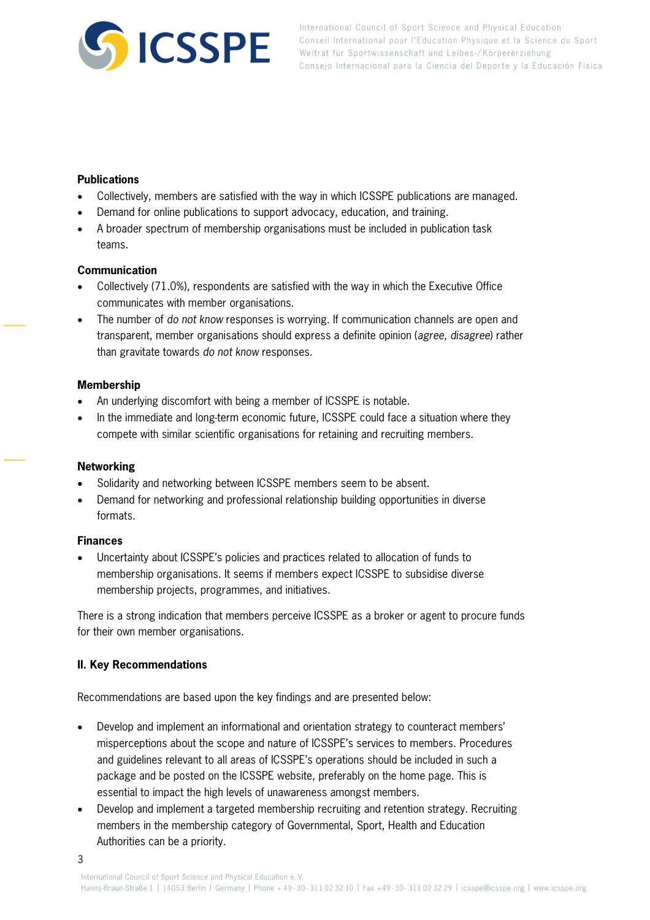

## **Publications**

- Collectively, members are satisfied with the way in which ICSSPE publications are managed.
- Demand for online publications to support advocacy, education, and training.
- A broader spectrum of membership organisations must be included in publication task teams.

## **Communication**

- Collectively (71.0%), respondents are satisfied with the way in which the Executive Office communicates with member organisations.
- The number of do not know responses is worrying. If communication channels are open and transparent, member organisations should express a definite opinion (agree, disagree) rather than gravitate towards do not know responses.

## **Membership**

- An underlying discomfort with being a member of ICSSPE is notable.
- In the immediate and long-term economic future, ICSSPE could face a situation where they compete with similar scientific organisations for retaining and recruiting members.

# **Networking**

- Solidarity and networking between ICSSPE members seem to be absent.
- Demand for networking and professional relationship building opportunities in diverse formats.

# **Finances**

 Uncertainty about ICSSPE's policies and practices related to allocation of funds to membership organisations. It seems if members expect ICSSPE to subsidise diverse membership projects, programmes, and initiatives.

There is a strong indication that members perceive ICSSPE as a broker or agent to procure funds for their own member organisations.

# **II. Key Recommendations**

Recommendations are based upon the key findings and are presented below:

- Develop and implement an informational and orientation strategy to counteract members' misperceptions about the scope and nature of ICSSPE's services to members. Procedures and guidelines relevant to all areas of ICSSPE's operations should be included in such a package and be posted on the ICSSPE website, preferably on the home page. This is essential to impact the high levels of unawareness amongst members.
- Develop and implement a targeted membership recruiting and retention strategy. Recruiting members in the membership category of Governmental, Sport, Health and Education Authorities can be a priority.